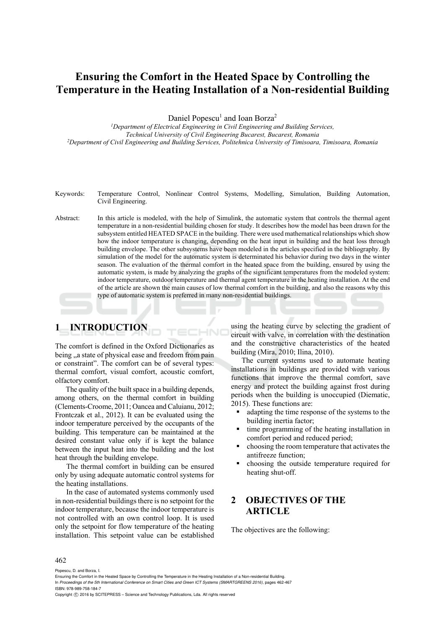# **Ensuring the Comfort in the Heated Space by Controlling the Temperature in the Heating Installation of a Non-residential Building**

Daniel Popescu<sup>1</sup> and Ioan Borza<sup>2</sup>

<sup>1</sup>Department of Electrical Engineering in Civil Engineering and Building Services, *Technical University of Civil Engineering Bucarest, Bucarest, Romania 2Department of Civil Engineering and Building Services, Politehnica University of Timisoara, Timisoara, Romania* 

- Keywords: Temperature Control, Nonlinear Control Systems, Modelling, Simulation, Building Automation, Civil Engineering.
- Abstract: In this article is modeled, with the help of Simulink, the automatic system that controls the thermal agent temperature in a non-residential building chosen for study. It describes how the model has been drawn for the subsystem entitled HEATED SPACE in the building. There were used mathematical relationships which show how the indoor temperature is changing, depending on the heat input in building and the heat loss through building envelope. The other subsystems have been modeled in the articles specified in the bibliography. By simulation of the model for the automatic system is determinated his behavior during two days in the winter season. The evaluation of the thermal comfort in the heated space from the building, ensured by using the automatic system, is made by analyzing the graphs of the significant temperatures from the modeled system: indoor temperature, outdoor temperature and thermal agent temperature in the heating installation. At the end of the article are shown the main causes of low thermal comfort in the building, and also the reasons why this type of automatic system is preferred in many non-residential buildings.

## **1 INTRODUCTION**

The comfort is defined in the Oxford Dictionaries as being <sub>"a</sub> state of physical ease and freedom from pain or constraint". The comfort can be of several types: thermal comfort, visual comfort, acoustic comfort, olfactory comfort.

The quality of the built space in a building depends, among others, on the thermal comfort in building (Clements-Croome, 2011; Oancea and Caluianu, 2012; Frontczak et al., 2012). It can be evaluated using the indoor temperature perceived by the occupants of the building. This temperature can be maintained at the desired constant value only if is kept the balance between the input heat into the building and the lost heat through the building envelope.

The thermal comfort in building can be ensured only by using adequate automatic control systems for the heating installations.

In the case of automated systems commonly used in non-residential buildings there is no setpoint for the indoor temperature, because the indoor temperature is not controlled with an own control loop. It is used only the setpoint for flow temperature of the heating installation. This setpoint value can be established

using the heating curve by selecting the gradient of circuit with valve, in correlation with the destination and the constructive characteristics of the heated building (Mira, 2010; Ilina, 2010).

The current systems used to automate heating installations in buildings are provided with various functions that improve the thermal comfort, save energy and protect the building against frost during periods when the building is unoccupied (Diematic, 2015). These functions are:

- adapting the time response of the systems to the building inertia factor;
- time programming of the heating installation in comfort period and reduced period;
- choosing the room temperature that activates the antifreeze function;
- choosing the outside temperature required for heating shut-off.

## **2 OBJECTIVES OF THE ARTICLE**

The objectives are the following:

#### 462

Popescu, D. and Borza, I.

Copyright C 2016 by SCITEPRESS - Science and Technology Publications, Lda. All rights reserved

Ensuring the Comfort in the Heated Space by Controlling the Temperature in the Heating Installation of a Non-residential Building. In *Proceedings of the 5th International Conference on Smart Cities and Green ICT Systems (SMARTGREENS 2016)*, pages 462-467 ISBN: 978-989-758-184-7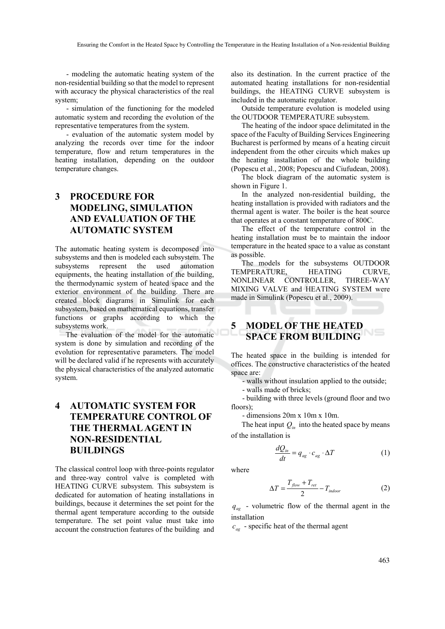- modeling the automatic heating system of the non-residential building so that the model to represent with accuracy the physical characteristics of the real system;

- simulation of the functioning for the modeled automatic system and recording the evolution of the representative temperatures from the system.

- evaluation of the automatic system model by analyzing the records over time for the indoor temperature, flow and return temperatures in the heating installation, depending on the outdoor temperature changes.

## **3 PROCEDURE FOR MODELING, SIMULATION AND EVALUATION OF THE AUTOMATIC SYSTEM**

The automatic heating system is decomposed into subsystems and then is modeled each subsystem. The subsystems represent the used automation equipments, the heating installation of the building, the thermodynamic system of heated space and the exterior environment of the building. There are created block diagrams in Simulink for each subsystem, based on mathematical equations, transfer functions or graphs according to which the subsystems work.

The evaluation of the model for the automatic system is done by simulation and recording of the evolution for representative parameters. The model will be declared valid if he represents with accurately the physical characteristics of the analyzed automatic system.

## **4 AUTOMATIC SYSTEM FOR TEMPERATURE CONTROL OF THE THERMAL AGENT IN NON-RESIDENTIAL BUILDINGS**

The classical control loop with three-points regulator and three-way control valve is completed with HEATING CURVE subsystem. This subsystem is dedicated for automation of heating installations in buildings, because it determines the set point for the thermal agent temperature according to the outside temperature. The set point value must take into account the construction features of the building and also its destination. In the current practice of the automated heating installations for non-residential buildings, the HEATING CURVE subsystem is included in the automatic regulator.

Outside temperature evolution is modeled using the OUTDOOR TEMPERATURE subsystem.

The heating of the indoor space delimitated in the space of the Faculty of Building Services Engineering Bucharest is performed by means of a heating circuit independent from the other circuits which makes up the heating installation of the whole building (Popescu et al., 2008; Popescu and Ciufudean, 2008).

The block diagram of the automatic system is shown in Figure 1.

In the analyzed non-residential building, the heating installation is provided with radiators and the thermal agent is water. The boiler is the heat source that operates at a constant temperature of 800C.

The effect of the temperature control in the heating installation must be to maintain the indoor temperature in the heated space to a value as constant as possible.

The models for the subsystems OUTDOOR TEMPERATURE, HEATING CURVE, NONLINEAR CONTROLLER, THREE-WAY MIXING VALVE and HEATING SYSTEM were made in Simulink (Popescu et al., 2009).

### **5 MODEL OF THE HEATED SPACE FROM BUILDING**

The heated space in the building is intended for offices. The constructive characteristics of the heated space are:

- walls without insulation applied to the outside;

- walls made of bricks;

- building with three levels (ground floor and two floors):

- dimensions 20m x 10m x 10m.

The heat input  $Q_{in}$  into the heated space by means of the installation is

$$
\frac{dQ_{in}}{dt} = q_{ag} \cdot c_{ag} \cdot \Delta T \tag{1}
$$

where

$$
\Delta T = \frac{T_{flow} + T_{ret}}{2} - T_{indoor}
$$
 (2)

 $q_{\alpha\beta}$  - volumetric flow of the thermal agent in the installation

 $c_{\alpha\beta}$  - specific heat of the thermal agent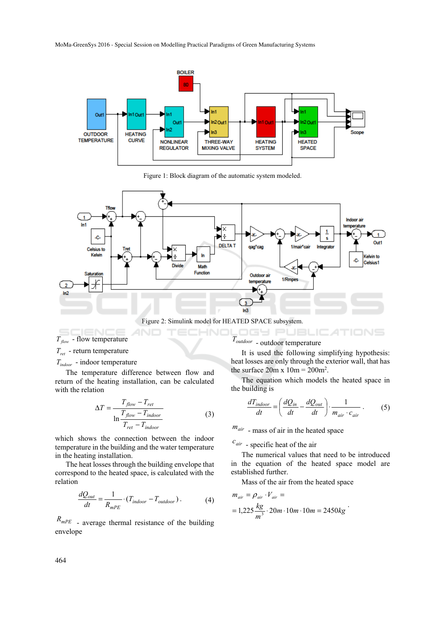MoMa-GreenSys 2016 - Special Session on Modelling Practical Paradigms of Green Manufacturing Systems



Figure 1: Block diagram of the automatic system modeled.



Figure 2: Simulink model for HEATED SPACE subsystem.

 $T_{flow}$  - flow temperature *Tret* - return temperature

*Tindoor* - indoor temperature

The temperature difference between flow and return of the heating installation, can be calculated with the relation

$$
\Delta T = \frac{T_{flow} - T_{ret}}{\ln \frac{T_{flow} - T_{indoor}}{T_{ret} - T_{indoor}}}
$$
(3)

which shows the connection between the indoor temperature in the building and the water temperature in the heating installation.

The heat losses through the building envelope that correspond to the heated space, is calculated with the relation

$$
\frac{dQ_{out}}{dt} = \frac{1}{R_{mPE}} \cdot (T_{indoor} - T_{outdoor}).
$$
 (4)

*RmPE* - average thermal resistance of the building envelope

*Toutdoor* - outdoor temperature

It is used the following simplifying hypothesis: heat losses are only through the exterior wall, that has the surface  $20m \times 10m = 200m^2$ .

OGY PUBLICATIONS

The equation which models the heated space in the building is

$$
\frac{dT_{indoor}}{dt} = \left(\frac{dQ_{in}}{dt} - \frac{dQ_{out}}{dt}\right) \cdot \frac{1}{m_{air} \cdot c_{air}} \ . \tag{5}
$$

*mair* - mass of air in the heated space

 $c_{air}$  - specific heat of the air

The numerical values that need to be introduced in the equation of the heated space model are established further.

Mass of the air from the heated space

$$
m_{air} = \rho_{air} \cdot V_{air} =
$$
  
= 1,225  $\frac{kg}{m^3} \cdot 20m \cdot 10m \cdot 10m = 2450kg$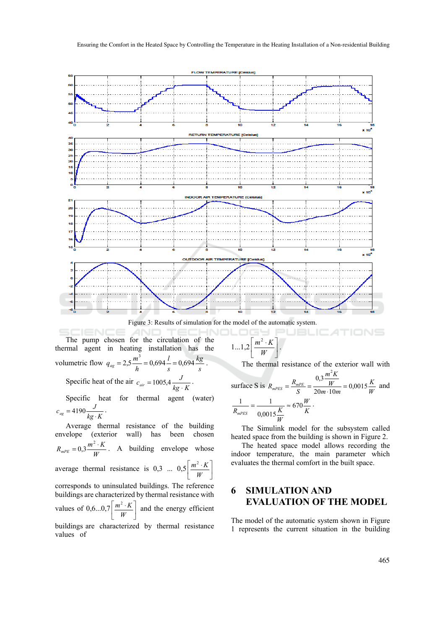

Figure 3: Results of simulation for the model of the automatic system.

ECHNOLOGY P The pump chosen for the circulation of the thermal agent in heating installation has the  $q_{ag} = 2.5 \frac{m^3}{h} = 0.694 \frac{l}{s} = 0.694 \frac{kg}{s}.$ volumetric flow  $q_{ag} = 2.5 \frac{m^3}{h} = 0.694 \frac{l}{s} = 0.694 \frac{kg}{s}$ *l s*

Specific heat of the air  $c_{air} = 1005.4 \frac{J}{kg \cdot K}$ .

Specific heat for thermal agent (water)  $c_{ag} = 4190 \frac{J}{kg \cdot K}$ .

Average thermal resistance of the building envelope (exterior wall) has been chosen  $R_{mPE} = 0.3 \frac{m^2 \cdot K}{W}$ . A building envelope whose average thermal resistance is 0,3 ...  $0.5 \left[ \frac{m^2 \cdot K}{W} \right]$  $\mid m^2 \cdot$ *W*  $m^2 \cdot K$ corresponds to uninsulated buildings. The reference buildings are characterized by thermal resistance with  $\mid m^2 \cdot$  $\left[\frac{m^2 \cdot K}{m} \right]$  and the energy efficient

values of  $0, 6...0, 7 \left[ \frac{m^2 \cdot K}{W} \right]$ *W* buildings are characterized by thermal resistance

values of

$$
1...1,2\left[\frac{m^2\cdot K}{W}\right].
$$

The thermal resistance of the exterior wall with

surface S is 
$$
R_{mPES} = \frac{R_{mPE}}{S} = \frac{0.3 \frac{m^2 K}{W}}{20m \cdot 10m} = 0,0015 \frac{K}{W}
$$
 and  

$$
\frac{1}{R_{mPES}} = \frac{1}{0,0015 \frac{K}{W}} \approx 670 \frac{W}{K}.
$$

The Simulink model for the subsystem called heated space from the building is shown in Figure 2.

The heated space model allows recording the indoor temperature, the main parameter which evaluates the thermal comfort in the built space.

## **6 SIMULATION AND EVALUATION OF THE MODEL**

The model of the automatic system shown in Figure 1 represents the current situation in the building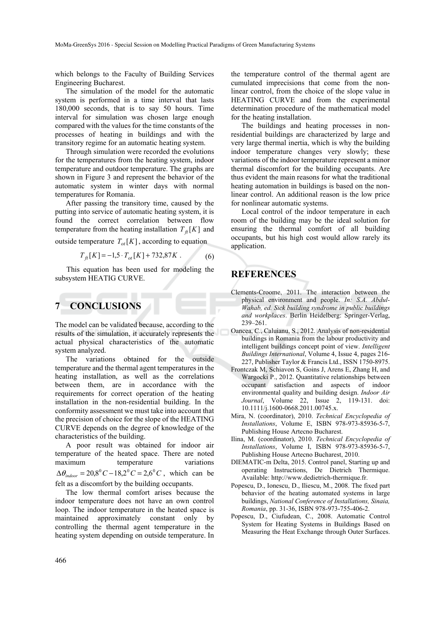which belongs to the Faculty of Building Services Engineering Bucharest.

The simulation of the model for the automatic system is performed in a time interval that lasts 180,000 seconds, that is to say 50 hours. Time interval for simulation was chosen large enough compared with the values for the time constants of the processes of heating in buildings and with the transitory regime for an automatic heating system.

Through simulation were recorded the evolutions for the temperatures from the heating system, indoor temperature and outdoor temperature. The graphs are shown in Figure 3 and represent the behavior of the automatic system in winter days with normal temperatures for Romania.

After passing the transitory time, caused by the putting into service of automatic heating system, it is found the correct correlation between flow temperature from the heating installation  $T_{\hat{H}}[K]$  and

outside temperature  $T_{ot}[K]$ , according to equation

$$
T_{ft}[K] = -1.5 \cdot T_{ot}[K] + 732,87K . \tag{6}
$$

This equation has been used for modeling the subsystem HEATIG CURVE.

## **7 CONCLUSIONS**

The model can be validated because, according to the results of the simulation, it accurately represents the actual physical characteristics of the automatic system analyzed.

The variations obtained for the outside temperature and the thermal agent temperatures in the heating installation, as well as the correlations between them, are in accordance with the requirements for correct operation of the heating installation in the non-residential building. In the conformity assessment we must take into account that the precision of choice for the slope of the HEATING CURVE depends on the degree of knowledge of the characteristics of the building.

A poor result was obtained for indoor air temperature of the heated space. There are noted maximum temperature variations  $\Delta \theta_{\text{indoor}} = 20,8^{\circ}C - 18,2^{\circ}C = 2,6^{\circ}C$ , which can be felt as a discomfort by the building occupants.

The low thermal comfort arises because the indoor temperature does not have an own control loop. The indoor temperature in the heated space is maintained approximately constant only by controlling the thermal agent temperature in the heating system depending on outside temperature. In

the temperature control of the thermal agent are cumulated imprecisions that come from the nonlinear control, from the choice of the slope value in HEATING CURVE and from the experimental determination procedure of the mathematical model for the heating installation.

The buildings and heating processes in nonresidential buildings are characterized by large and very large thermal inertia, which is why the building indoor temperature changes very slowly; these variations of the indoor temperature represent a minor thermal discomfort for the building occupants. Are thus evident the main reasons for what the traditional heating automation in buildings is based on the nonlinear control. An additional reason is the low price for nonlinear automatic systems.

Local control of the indoor temperature in each room of the building may be the ideal solution for ensuring the thermal comfort of all building occupants, but his high cost would allow rarely its application.

### **REFERENCES**

- Clements-Croome, 2011. The interaction between the physical environment and people. *In: S.A. Abdul-Wahab, ed. Sick building syndrome in public buildings and workplaces*. Berlin Heidelberg: Springer-Verlag, 239–261.
- Oancea, C., Caluianu, S., 2012. Analysis of non-residential buildings in Romania from the labour productivity and intelligent buildings concept point of view. *Intelligent Buildings International*, Volume 4, Issue 4, pages 216- 227, Publisher Taylor & Francis Ltd., ISSN 1750-8975.
- Frontczak M, Schiavon S, Goins J, Arens E, Zhang H, and Wargocki P., 2012. Quantitative relationships between occupant satisfaction and aspects of indoor environmental quality and building design. *Indoor Air Journal*, Volume 22, Issue 2, 119-131. doi: 10.1111/j.1600-0668.2011.00745.x.
- Mira, N. (coordinator), 2010. *Technical Encyclopedia of Installations*, Volume E, ISBN 978-973-85936-5-7, Publishing House Artecno Bucharest.
- Ilina, M. (coordinator), 2010. *Technical Encyclopedia of Installations*, Volume I, ISBN 978-973-85936-5-7, Publishing House Artecno Bucharest, 2010.
- DIEMATIC-m Delta, 2015. Control panel, Starting up and operating Instructions, De Dietrich Thermique. Available: http://www.dedietrich-thermique.fr.
- Popescu, D., Ionescu, D., Iliescu, M., 2008. The fixed part behavior of the heating automated systems in large buildings, *National Conference of Installations, Sinaia, Romania*, pp. 31-36, ISBN 978-973-755-406-2.
- Popescu, D., Ciufudean, C., 2008. Automatic Control System for Heating Systems in Buildings Based on Measuring the Heat Exchange through Outer Surfaces.